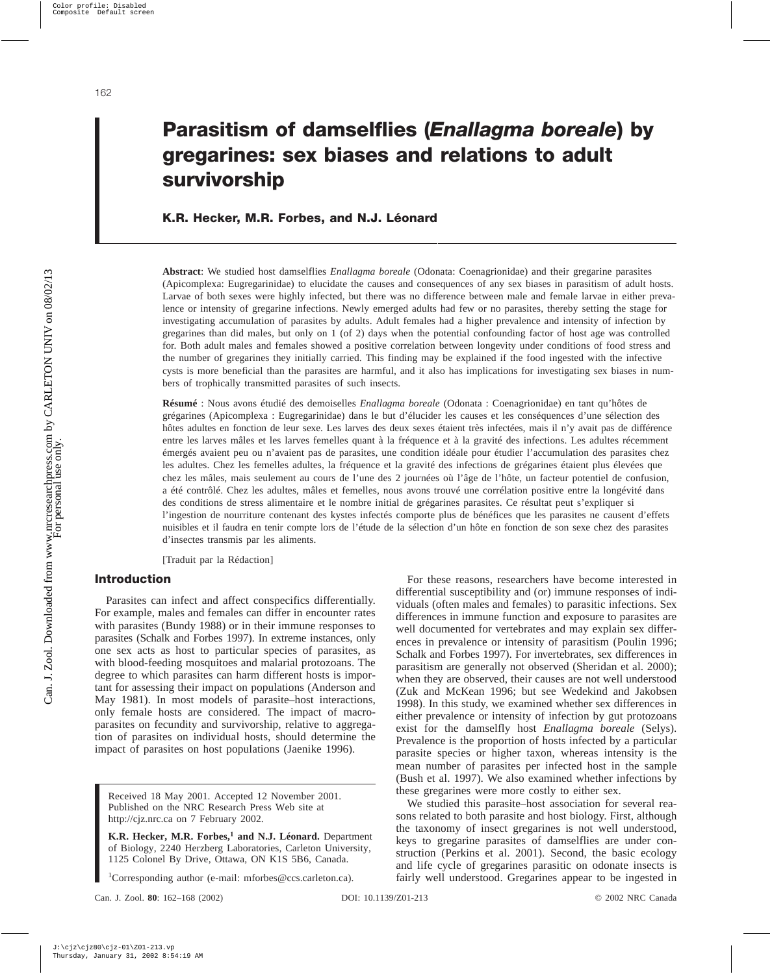# **Parasitism of damselflies (***Enallagma boreale***) by gregarines: sex biases and relations to adult survivorship**

# **K.R. Hecker, M.R. Forbes, and N.J. Léonard**

**Abstract**: We studied host damselflies *Enallagma boreale* (Odonata: Coenagrionidae) and their gregarine parasites (Apicomplexa: Eugregarinidae) to elucidate the causes and consequences of any sex biases in parasitism of adult hosts. Larvae of both sexes were highly infected, but there was no difference between male and female larvae in either prevalence or intensity of gregarine infections. Newly emerged adults had few or no parasites, thereby setting the stage for investigating accumulation of parasites by adults. Adult females had a higher prevalence and intensity of infection by gregarines than did males, but only on 1 (of 2) days when the potential confounding factor of host age was controlled for. Both adult males and females showed a positive correlation between longevity under conditions of food stress and the number of gregarines they initially carried. This finding may be explained if the food ingested with the infective cysts is more beneficial than the parasites are harmful, and it also has implications for investigating sex biases in numbers of trophically transmitted parasites of such insects.

**Résumé** : Nous avons étudié des demoiselles *Enallagma boreale* (Odonata : Coenagrionidae) en tant qu'hôtes de grégarines (Apicomplexa : Eugregarinidae) dans le but d'élucider les causes et les conséquences d'une sélection des hôtes adultes en fonction de leur sexe. Les larves des deux sexes étaient très infectées, mais il n'y avait pas de différence entre les larves mâles et les larves femelles quant à la fréquence et à la gravité des infections. Les adultes récemment émergés avaient peu ou n'avaient pas de parasites, une condition idéale pour étudier l'accumulation des parasites chez les adultes. Chez les femelles adultes, la fréquence et la gravité des infections de grégarines étaient plus élevées que chez les mâles, mais seulement au cours de l'une des 2 journées où l'âge de l'hôte, un facteur potentiel de confusion, a été contrôlé. Chez les adultes, mâles et femelles, nous avons trouvé une corrélation positive entre la longévité dans des conditions de stress alimentaire et le nombre initial de grégarines parasites. Ce résultat peut s'expliquer si l'ingestion de nourriture contenant des kystes infectés comporte plus de bénéfices que les parasites ne causent d'effets nuisibles et il faudra en tenir compte lors de l'étude de la sélection d'un hôte en fonction de son sexe chez des parasites d'insectes transmis par les aliments.

[Traduit par la Rédaction]

# **Introduction**

Parasites can infect and affect conspecifics differentially. For example, males and females can differ in encounter rates with parasites (Bundy 1988) or in their immune responses to parasites (Schalk and Forbes 1997). In extreme instances, only one sex acts as host to particular species of parasites, as with blood-feeding mosquitoes and malarial protozoans. The degree to which parasites can harm different hosts is important for assessing their impact on populations (Anderson and May 1981). In most models of parasite–host interactions, only female hosts are considered. The impact of macroparasites on fecundity and survivorship, relative to aggregation of parasites on individual hosts, should determine the impact of parasites on host populations (Jaenike 1996).

Received 18 May 2001. Accepted 12 November 2001. Published on the NRC Research Press Web site at http://cjz.nrc.ca on 7 February 2002.

**K.R. Hecker, M.R. Forbes,<sup>1</sup> and N.J. Léonard.** Department of Biology, 2240 Herzberg Laboratories, Carleton University, 1125 Colonel By Drive, Ottawa, ON K1S 5B6, Canada.

<sup>1</sup>Corresponding author (e-mail: mforbes@ccs.carleton.ca).

For these reasons, researchers have become interested in differential susceptibility and (or) immune responses of individuals (often males and females) to parasitic infections. Sex differences in immune function and exposure to parasites are well documented for vertebrates and may explain sex differences in prevalence or intensity of parasitism (Poulin 1996; Schalk and Forbes 1997). For invertebrates, sex differences in parasitism are generally not observed (Sheridan et al. 2000); when they are observed, their causes are not well understood (Zuk and McKean 1996; but see Wedekind and Jakobsen 1998). In this study, we examined whether sex differences in either prevalence or intensity of infection by gut protozoans exist for the damselfly host *Enallagma boreale* (Selys). Prevalence is the proportion of hosts infected by a particular parasite species or higher taxon, whereas intensity is the mean number of parasites per infected host in the sample (Bush et al. 1997). We also examined whether infections by these gregarines were more costly to either sex.

We studied this parasite–host association for several reasons related to both parasite and host biology. First, although the taxonomy of insect gregarines is not well understood, keys to gregarine parasites of damselflies are under construction (Perkins et al. 2001). Second, the basic ecology and life cycle of gregarines parasitic on odonate insects is fairly well understood. Gregarines appear to be ingested in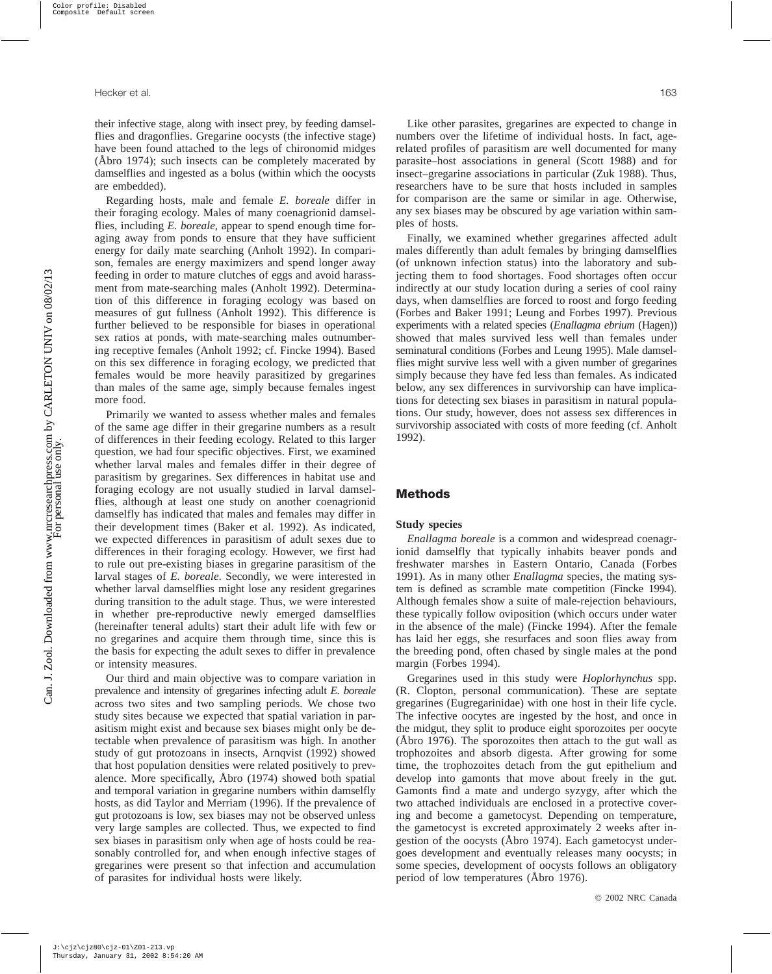their infective stage, along with insect prey, by feeding damselflies and dragonflies. Gregarine oocysts (the infective stage) have been found attached to the legs of chironomid midges (Åbro 1974); such insects can be completely macerated by damselflies and ingested as a bolus (within which the oocysts are embedded).

Regarding hosts, male and female *E. boreale* differ in their foraging ecology. Males of many coenagrionid damselflies, including *E. boreale*, appear to spend enough time foraging away from ponds to ensure that they have sufficient energy for daily mate searching (Anholt 1992). In comparison, females are energy maximizers and spend longer away feeding in order to mature clutches of eggs and avoid harassment from mate-searching males (Anholt 1992). Determination of this difference in foraging ecology was based on measures of gut fullness (Anholt 1992). This difference is further believed to be responsible for biases in operational sex ratios at ponds, with mate-searching males outnumbering receptive females (Anholt 1992; cf. Fincke 1994). Based on this sex difference in foraging ecology, we predicted that females would be more heavily parasitized by gregarines than males of the same age, simply because females ingest more food.

Primarily we wanted to assess whether males and females of the same age differ in their gregarine numbers as a result of differences in their feeding ecology. Related to this larger question, we had four specific objectives. First, we examined whether larval males and females differ in their degree of parasitism by gregarines. Sex differences in habitat use and foraging ecology are not usually studied in larval damselflies, although at least one study on another coenagrionid damselfly has indicated that males and females may differ in their development times (Baker et al. 1992). As indicated, we expected differences in parasitism of adult sexes due to differences in their foraging ecology. However, we first had to rule out pre-existing biases in gregarine parasitism of the larval stages of *E. boreale*. Secondly, we were interested in whether larval damselflies might lose any resident gregarines during transition to the adult stage. Thus, we were interested in whether pre-reproductive newly emerged damselflies (hereinafter teneral adults) start their adult life with few or no gregarines and acquire them through time, since this is the basis for expecting the adult sexes to differ in prevalence or intensity measures.

Our third and main objective was to compare variation in prevalence and intensity of gregarines infecting adult *E. boreale* across two sites and two sampling periods. We chose two study sites because we expected that spatial variation in parasitism might exist and because sex biases might only be detectable when prevalence of parasitism was high. In another study of gut protozoans in insects, Arnqvist (1992) showed that host population densities were related positively to prevalence. More specifically, Åbro (1974) showed both spatial and temporal variation in gregarine numbers within damselfly hosts, as did Taylor and Merriam (1996). If the prevalence of gut protozoans is low, sex biases may not be observed unless very large samples are collected. Thus, we expected to find sex biases in parasitism only when age of hosts could be reasonably controlled for, and when enough infective stages of gregarines were present so that infection and accumulation of parasites for individual hosts were likely.

Like other parasites, gregarines are expected to change in numbers over the lifetime of individual hosts. In fact, agerelated profiles of parasitism are well documented for many parasite–host associations in general (Scott 1988) and for insect–gregarine associations in particular (Zuk 1988). Thus, researchers have to be sure that hosts included in samples for comparison are the same or similar in age. Otherwise, any sex biases may be obscured by age variation within samples of hosts.

Finally, we examined whether gregarines affected adult males differently than adult females by bringing damselflies (of unknown infection status) into the laboratory and subjecting them to food shortages. Food shortages often occur indirectly at our study location during a series of cool rainy days, when damselflies are forced to roost and forgo feeding (Forbes and Baker 1991; Leung and Forbes 1997). Previous experiments with a related species (*Enallagma ebrium* (Hagen)) showed that males survived less well than females under seminatural conditions (Forbes and Leung 1995). Male damselflies might survive less well with a given number of gregarines simply because they have fed less than females. As indicated below, any sex differences in survivorship can have implications for detecting sex biases in parasitism in natural populations. Our study, however, does not assess sex differences in survivorship associated with costs of more feeding (cf. Anholt 1992).

# **Methods**

## **Study species**

*Enallagma boreale* is a common and widespread coenagrionid damselfly that typically inhabits beaver ponds and freshwater marshes in Eastern Ontario, Canada (Forbes 1991). As in many other *Enallagma* species, the mating system is defined as scramble mate competition (Fincke 1994). Although females show a suite of male-rejection behaviours, these typically follow oviposition (which occurs under water in the absence of the male) (Fincke 1994). After the female has laid her eggs, she resurfaces and soon flies away from the breeding pond, often chased by single males at the pond margin (Forbes 1994).

Gregarines used in this study were *Hoplorhynchus* spp. (R. Clopton, personal communication). These are septate gregarines (Eugregarinidae) with one host in their life cycle. The infective oocytes are ingested by the host, and once in the midgut, they split to produce eight sporozoites per oocyte (Åbro 1976). The sporozoites then attach to the gut wall as trophozoites and absorb digesta. After growing for some time, the trophozoites detach from the gut epithelium and develop into gamonts that move about freely in the gut. Gamonts find a mate and undergo syzygy, after which the two attached individuals are enclosed in a protective covering and become a gametocyst. Depending on temperature, the gametocyst is excreted approximately 2 weeks after ingestion of the oocysts (Åbro 1974). Each gametocyst undergoes development and eventually releases many oocysts; in some species, development of oocysts follows an obligatory period of low temperatures (Åbro 1976).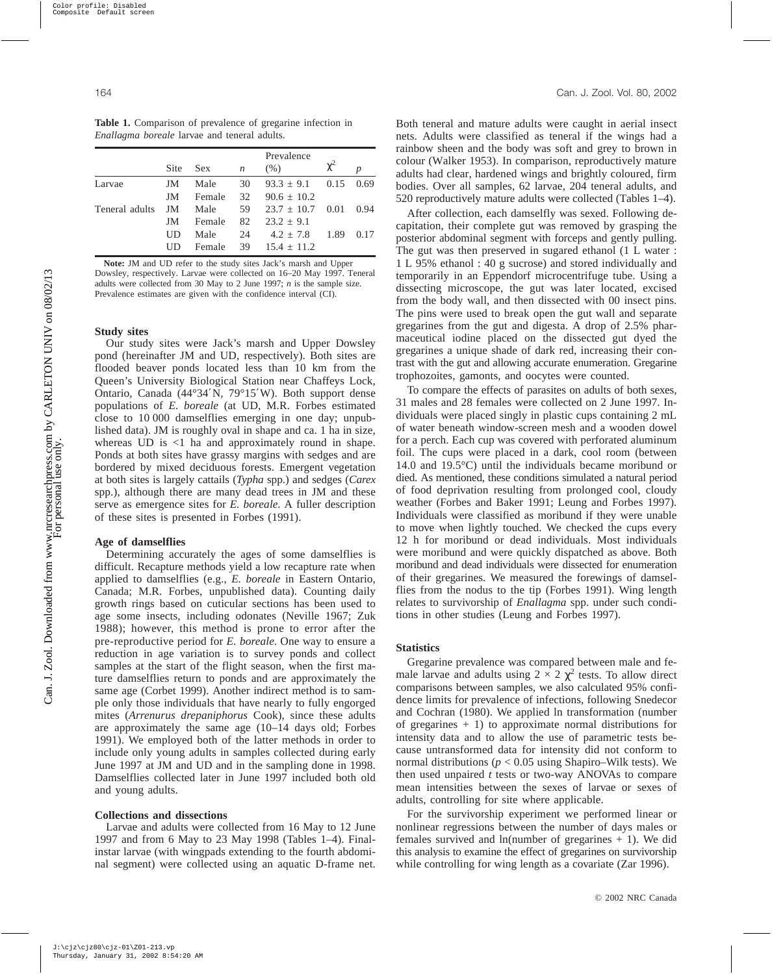|                | Site | <b>Sex</b> | $\boldsymbol{n}$ | Prevalence<br>(% )  |      |      |
|----------------|------|------------|------------------|---------------------|------|------|
|                |      |            |                  |                     |      |      |
| Larvae         | JM   | Male       | 30               | $93.3 \pm 9.1$ 0.15 |      | 0.69 |
|                | JM   | Female     | 32               | $90.6 + 10.2$       |      |      |
| Teneral adults | JM   | Male       | 59               | $23.7 \pm 10.7$     | 0.01 | 0.94 |
|                | JM   | Female     | 82               | $23.2 \pm 9.1$      |      |      |
|                | UD   | Male       | 24               | $4.2 + 7.8$         | 1.89 | 0.17 |
|                | UD   | Female     | 39               | $15.4 \pm 11.2$     |      |      |

**Note:** JM and UD refer to the study sites Jack's marsh and Upper Dowsley, respectively. Larvae were collected on 16–20 May 1997. Teneral adults were collected from 30 May to 2 June 1997; *n* is the sample size. Prevalence estimates are given with the confidence interval (CI).

#### **Study sites**

Our study sites were Jack's marsh and Upper Dowsley pond (hereinafter JM and UD, respectively). Both sites are flooded beaver ponds located less than 10 km from the Queen's University Biological Station near Chaffeys Lock, Ontario, Canada (44°34′N, 79°15′W). Both support dense populations of *E. boreale* (at UD, M.R. Forbes estimated close to 10 000 damselflies emerging in one day; unpublished data). JM is roughly oval in shape and ca. 1 ha in size, whereas  $UD$  is  $\langle 1 \rangle$  ha and approximately round in shape. Ponds at both sites have grassy margins with sedges and are bordered by mixed deciduous forests. Emergent vegetation at both sites is largely cattails (*Typha* spp.) and sedges (*Carex* spp.), although there are many dead trees in JM and these serve as emergence sites for *E. boreale*. A fuller description of these sites is presented in Forbes (1991).

#### **Age of damselflies**

Determining accurately the ages of some damselflies is difficult. Recapture methods yield a low recapture rate when applied to damselflies (e.g., *E. boreale* in Eastern Ontario, Canada; M.R. Forbes, unpublished data). Counting daily growth rings based on cuticular sections has been used to age some insects, including odonates (Neville 1967; Zuk 1988); however, this method is prone to error after the pre-reproductive period for *E. boreale*. One way to ensure a reduction in age variation is to survey ponds and collect samples at the start of the flight season, when the first mature damselflies return to ponds and are approximately the same age (Corbet 1999). Another indirect method is to sample only those individuals that have nearly to fully engorged mites (*Arrenurus drepaniphorus* Cook), since these adults are approximately the same age (10–14 days old; Forbes 1991). We employed both of the latter methods in order to include only young adults in samples collected during early June 1997 at JM and UD and in the sampling done in 1998. Damselflies collected later in June 1997 included both old and young adults.

### **Collections and dissections**

Larvae and adults were collected from 16 May to 12 June 1997 and from 6 May to 23 May 1998 (Tables 1–4). Finalinstar larvae (with wingpads extending to the fourth abdominal segment) were collected using an aquatic D-frame net.

Both teneral and mature adults were caught in aerial insect nets. Adults were classified as teneral if the wings had a rainbow sheen and the body was soft and grey to brown in colour (Walker 1953). In comparison, reproductively mature adults had clear, hardened wings and brightly coloured, firm bodies. Over all samples, 62 larvae, 204 teneral adults, and 520 reproductively mature adults were collected (Tables 1–4).

After collection, each damselfly was sexed. Following decapitation, their complete gut was removed by grasping the posterior abdominal segment with forceps and gently pulling. The gut was then preserved in sugared ethanol (1 L water : 1 L 95% ethanol : 40 g sucrose) and stored individually and temporarily in an Eppendorf microcentrifuge tube. Using a dissecting microscope, the gut was later located, excised from the body wall, and then dissected with 00 insect pins. The pins were used to break open the gut wall and separate gregarines from the gut and digesta. A drop of 2.5% pharmaceutical iodine placed on the dissected gut dyed the gregarines a unique shade of dark red, increasing their contrast with the gut and allowing accurate enumeration. Gregarine trophozoites, gamonts, and oocytes were counted.

To compare the effects of parasites on adults of both sexes, 31 males and 28 females were collected on 2 June 1997. Individuals were placed singly in plastic cups containing 2 mL of water beneath window-screen mesh and a wooden dowel for a perch. Each cup was covered with perforated aluminum foil. The cups were placed in a dark, cool room (between 14.0 and 19.5°C) until the individuals became moribund or died. As mentioned, these conditions simulated a natural period of food deprivation resulting from prolonged cool, cloudy weather (Forbes and Baker 1991; Leung and Forbes 1997). Individuals were classified as moribund if they were unable to move when lightly touched. We checked the cups every 12 h for moribund or dead individuals. Most individuals were moribund and were quickly dispatched as above. Both moribund and dead individuals were dissected for enumeration of their gregarines. We measured the forewings of damselflies from the nodus to the tip (Forbes 1991). Wing length relates to survivorship of *Enallagma* spp. under such conditions in other studies (Leung and Forbes 1997).

## **Statistics**

Gregarine prevalence was compared between male and female larvae and adults using  $2 \times 2 \chi^2$  tests. To allow direct comparisons between samples, we also calculated 95% confidence limits for prevalence of infections, following Snedecor and Cochran (1980). We applied ln transformation (number of gregarines  $+1$ ) to approximate normal distributions for intensity data and to allow the use of parametric tests because untransformed data for intensity did not conform to normal distributions ( $p < 0.05$  using Shapiro–Wilk tests). We then used unpaired *t* tests or two-way ANOVAs to compare mean intensities between the sexes of larvae or sexes of adults, controlling for site where applicable.

For the survivorship experiment we performed linear or nonlinear regressions between the number of days males or females survived and ln(number of gregarines  $+ 1$ ). We did this analysis to examine the effect of gregarines on survivorship while controlling for wing length as a covariate (Zar 1996).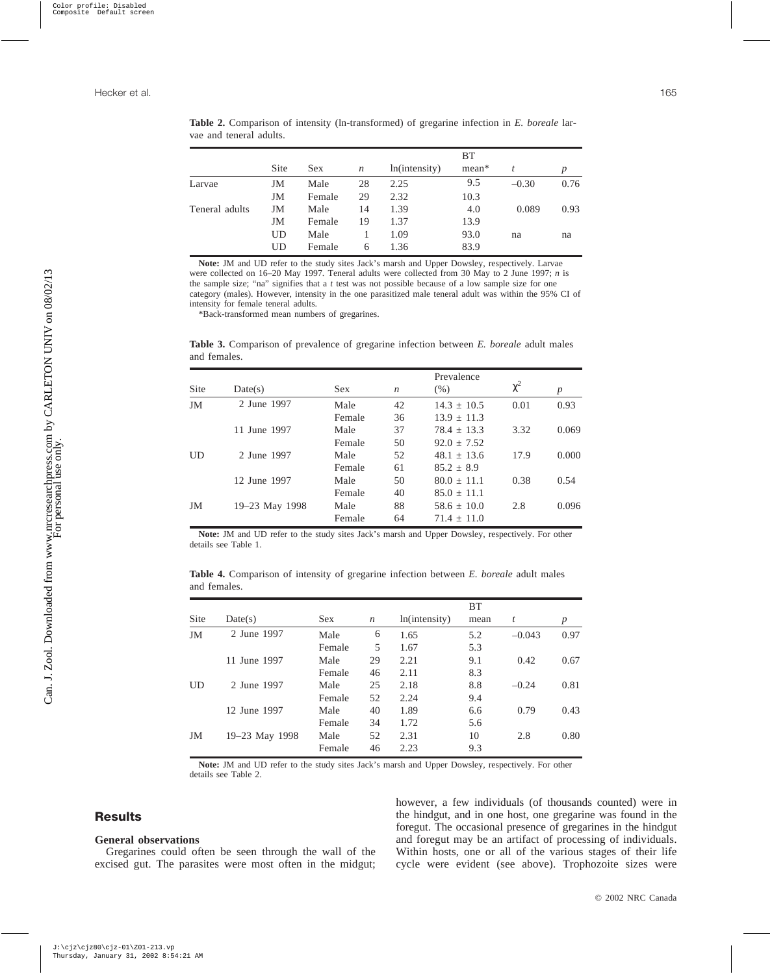|                |      |        |                  |               | <b>BT</b> |         |                  |
|----------------|------|--------|------------------|---------------|-----------|---------|------------------|
|                | Site | Sex.   | $\boldsymbol{n}$ | ln(intensity) | mean*     | t       | $\boldsymbol{p}$ |
| Larvae         | JM   | Male   | 28               | 2.25          | 9.5       | $-0.30$ | 0.76             |
|                | JM   | Female | 29               | 2.32          | 10.3      |         |                  |
| Teneral adults | JM   | Male   | 14               | 1.39          | 4.0       | 0.089   | 0.93             |
|                | JM   | Female | 19               | 1.37          | 13.9      |         |                  |
|                | UD   | Male   |                  | 1.09          | 93.0      | na      | na               |
|                | UD   | Female | 6                | 1.36          | 83.9      |         |                  |

**Table 2.** Comparison of intensity (ln-transformed) of gregarine infection in *E. boreale* larvae and teneral adults.

**Note:** JM and UD refer to the study sites Jack's marsh and Upper Dowsley, respectively. Larvae were collected on 16–20 May 1997. Teneral adults were collected from 30 May to 2 June 1997; *n* is the sample size; "na" signifies that a *t* test was not possible because of a low sample size for one category (males). However, intensity in the one parasitized male teneral adult was within the 95% CI of intensity for female teneral adults.

\*Back-transformed mean numbers of gregarines.

**Table 3.** Comparison of prevalence of gregarine infection between *E. boreale* adult males and females.

| Site | Date(s)        | <b>Sex</b> | $\boldsymbol{n}$ | $(\% )$       | $\chi^2$ | $\boldsymbol{p}$ |
|------|----------------|------------|------------------|---------------|----------|------------------|
| JM   | 2 June 1997    | Male       | 42               | $14.3 + 10.5$ | 0.01     | 0.93             |
|      |                | Female     | 36               | $13.9 + 11.3$ |          |                  |
|      | 11 June 1997   | Male       | 37               | $78.4 + 13.3$ | 3.32     | 0.069            |
|      |                | Female     | 50               | $92.0 + 7.52$ |          |                  |
| UD   | 2 June 1997    | Male       | 52               | $48.1 + 13.6$ | 17.9     | 0.000            |
|      |                | Female     | 61               | $85.2 + 8.9$  |          |                  |
|      | 12 June 1997   | Male       | 50               | $80.0 + 11.1$ | 0.38     | 0.54             |
|      |                | Female     | 40               | $85.0 + 11.1$ |          |                  |
| JM   | 19–23 May 1998 | Male       | 88               | $58.6 + 10.0$ | 2.8      | 0.096            |
|      |                | Female     | 64               | $71.4 + 11.0$ |          |                  |

**Note:** JM and UD refer to the study sites Jack's marsh and Upper Dowsley, respectively. For other details see Table 1.

**Table 4.** Comparison of intensity of gregarine infection between *E. boreale* adult males and females.

|           |                |            |                  |               | <b>BT</b> |          |                  |
|-----------|----------------|------------|------------------|---------------|-----------|----------|------------------|
| Site      | Date(s)        | <b>Sex</b> | $\boldsymbol{n}$ | ln(intensity) | mean      | t        | $\boldsymbol{p}$ |
| JM        | 2 June 1997    | Male       | 6                | 1.65          | 5.2       | $-0.043$ | 0.97             |
|           |                | Female     | 5                | 1.67          | 5.3       |          |                  |
|           | 11 June 1997   | Male       | 29               | 2.21          | 9.1       | 0.42     | 0.67             |
|           |                | Female     | 46               | 2.11          | 8.3       |          |                  |
| <b>UD</b> | 2 June 1997    | Male       | 25               | 2.18          | 8.8       | $-0.24$  | 0.81             |
|           |                | Female     | 52               | 2.24          | 9.4       |          |                  |
|           | 12 June 1997   | Male       | 40               | 1.89          | 6.6       | 0.79     | 0.43             |
|           |                | Female     | 34               | 1.72          | 5.6       |          |                  |
| JM        | 19–23 May 1998 | Male       | 52               | 2.31          | 10        | 2.8      | 0.80             |
|           |                | Female     | 46               | 2.23          | 9.3       |          |                  |

**Note:** JM and UD refer to the study sites Jack's marsh and Upper Dowsley, respectively. For other details see Table 2.

# **Results**

Can. J. Zool. Downloaded from www.nrcresearchpress.com by CARLETON UNIV on 08/02/13 Can. J. Zool. Downloaded from www.nrcresearchpress.com by CARLETON UNIV on 08/02/13<br>For personal use only.

## **General observations**

Gregarines could often be seen through the wall of the excised gut. The parasites were most often in the midgut; however, a few individuals (of thousands counted) were in the hindgut, and in one host, one gregarine was found in the foregut. The occasional presence of gregarines in the hindgut and foregut may be an artifact of processing of individuals. Within hosts, one or all of the various stages of their life cycle were evident (see above). Trophozoite sizes were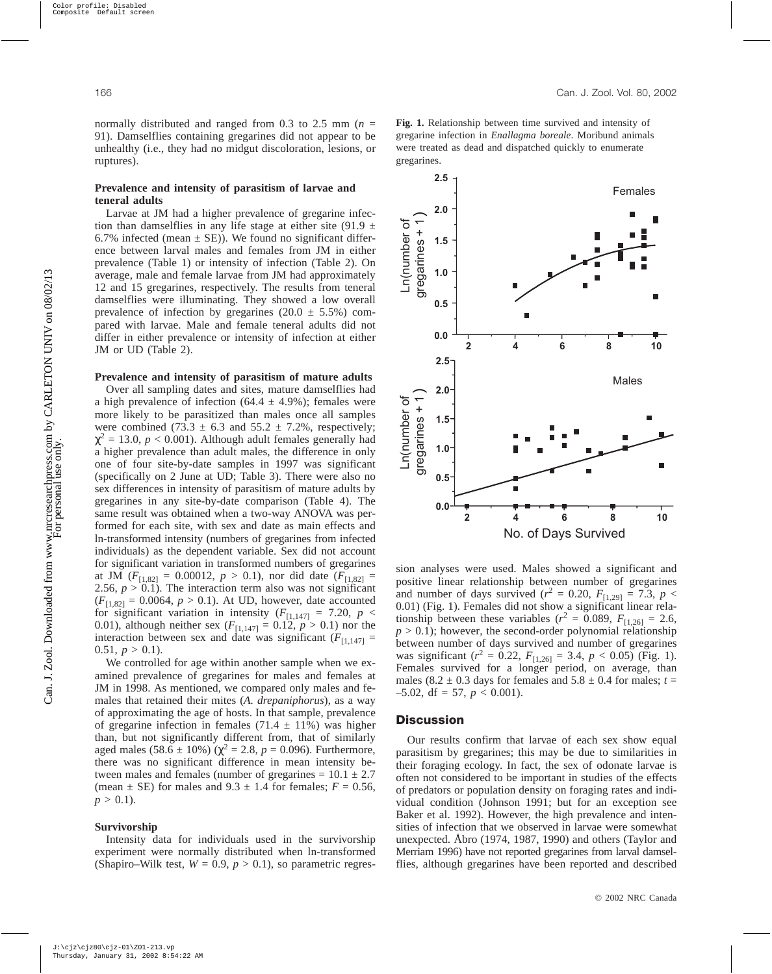normally distributed and ranged from 0.3 to 2.5 mm (*n* = 91). Damselflies containing gregarines did not appear to be unhealthy (i.e., they had no midgut discoloration, lesions, or ruptures).

## **Prevalence and intensity of parasitism of larvae and teneral adults**

Larvae at JM had a higher prevalence of gregarine infection than damselflies in any life stage at either site (91.9  $\pm$ 6.7% infected (mean  $\pm$  SE)). We found no significant difference between larval males and females from JM in either prevalence (Table 1) or intensity of infection (Table 2). On average, male and female larvae from JM had approximately 12 and 15 gregarines, respectively. The results from teneral damselflies were illuminating. They showed a low overall prevalence of infection by gregarines  $(20.0 \pm 5.5\%)$  compared with larvae. Male and female teneral adults did not differ in either prevalence or intensity of infection at either JM or UD (Table 2).

#### **Prevalence and intensity of parasitism of mature adults**

Over all sampling dates and sites, mature damselflies had a high prevalence of infection (64.4  $\pm$  4.9%); females were more likely to be parasitized than males once all samples were combined (73.3  $\pm$  6.3 and 55.2  $\pm$  7.2%, respectively;  $\chi^2$  = 13.0, *p* < 0.001). Although adult females generally had a higher prevalence than adult males, the difference in only one of four site-by-date samples in 1997 was significant (specifically on 2 June at UD; Table 3). There were also no sex differences in intensity of parasitism of mature adults by gregarines in any site-by-date comparison (Table 4). The same result was obtained when a two-way ANOVA was performed for each site, with sex and date as main effects and ln-transformed intensity (numbers of gregarines from infected individuals) as the dependent variable. Sex did not account for significant variation in transformed numbers of gregarines at JM  $(F_{[1,82]} = 0.00012, p > 0.1)$ , nor did date  $(F_{[1,82]} =$ 2.56,  $p > 0.1$ ). The interaction term also was not significant  $(F_{[1,82]} = 0.0064, p > 0.1)$ . At UD, however, date accounted for significant variation in intensity  $(F_{[1,147]} = 7.20, p <$ 0.01), although neither sex  $(F_{[1,147]} = 0.12, p > 0.1)$  nor the interaction between sex and date was significant  $(F_{[1,147]} =$ 0.51,  $p > 0.1$ ).

We controlled for age within another sample when we examined prevalence of gregarines for males and females at JM in 1998. As mentioned, we compared only males and females that retained their mites (*A. drepaniphorus*), as a way of approximating the age of hosts. In that sample, prevalence of gregarine infection in females  $(71.4 \pm 11\%)$  was higher than, but not significantly different from, that of similarly aged males  $(58.6 \pm 10\%) (\chi^2 = 2.8, p = 0.096)$ . Furthermore, there was no significant difference in mean intensity between males and females (number of gregarines  $= 10.1 \pm 2.7$ (mean  $\pm$  SE) for males and 9.3  $\pm$  1.4 for females;  $F = 0.56$ ,  $p > 0.1$ ).

## **Survivorship**

Intensity data for individuals used in the survivorship experiment were normally distributed when ln-transformed (Shapiro–Wilk test,  $W = 0.9$ ,  $p > 0.1$ ), so parametric regres**Fig. 1.** Relationship between time survived and intensity of gregarine infection in *Enallagma boreale*. Moribund animals were treated as dead and dispatched quickly to enumerate gregarines.



sion analyses were used. Males showed a significant and positive linear relationship between number of gregarines and number of days survived ( $r^2 = 0.20$ ,  $F_{[1,29]} = 7.3$ ,  $p <$ 0.01) (Fig. 1). Females did not show a significant linear relationship between these variables ( $r^2 = 0.089$ ,  $F_{[1,26]} = 2.6$ ,  $p > 0.1$ ); however, the second-order polynomial relationship between number of days survived and number of gregarines was significant ( $r^2 = 0.22$ ,  $F_{[1,26]} = 3.4$ ,  $p < 0.05$ ) (Fig. 1). Females survived for a longer period, on average, than males (8.2  $\pm$  0.3 days for females and 5.8  $\pm$  0.4 for males; *t* =  $-5.02$ , df = 57,  $p < 0.001$ ).

## **Discussion**

Our results confirm that larvae of each sex show equal parasitism by gregarines; this may be due to similarities in their foraging ecology. In fact, the sex of odonate larvae is often not considered to be important in studies of the effects of predators or population density on foraging rates and individual condition (Johnson 1991; but for an exception see Baker et al. 1992). However, the high prevalence and intensities of infection that we observed in larvae were somewhat unexpected. Åbro (1974, 1987, 1990) and others (Taylor and Merriam 1996) have not reported gregarines from larval damselflies, although gregarines have been reported and described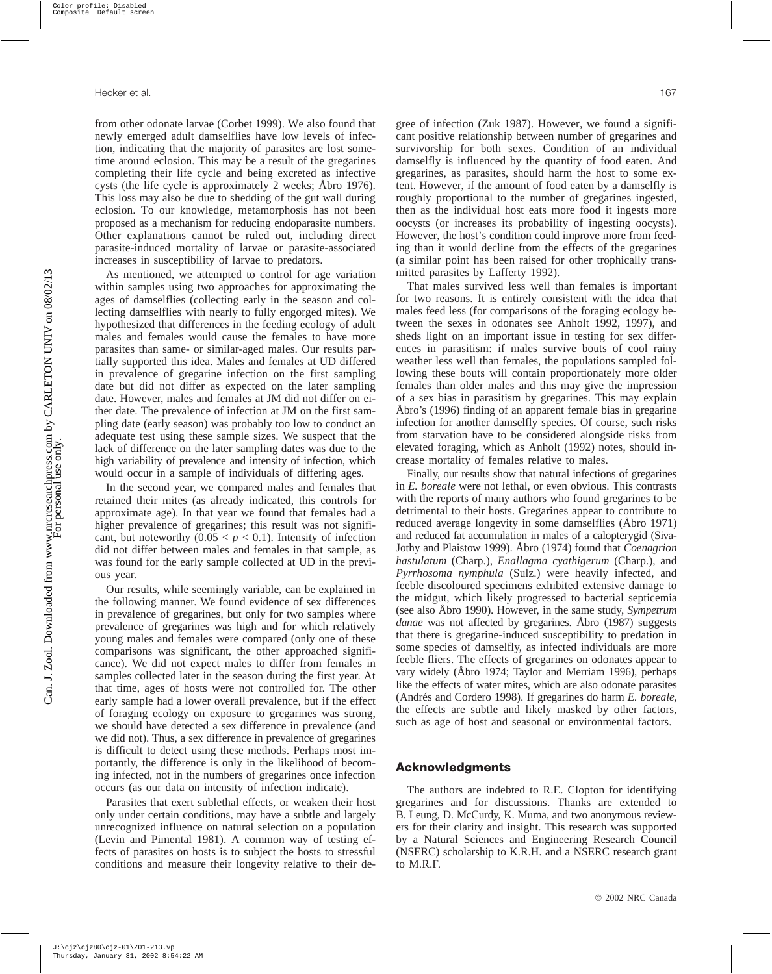from other odonate larvae (Corbet 1999). We also found that newly emerged adult damselflies have low levels of infection, indicating that the majority of parasites are lost sometime around eclosion. This may be a result of the gregarines completing their life cycle and being excreted as infective cysts (the life cycle is approximately 2 weeks; Åbro 1976). This loss may also be due to shedding of the gut wall during eclosion. To our knowledge, metamorphosis has not been proposed as a mechanism for reducing endoparasite numbers. Other explanations cannot be ruled out, including direct parasite-induced mortality of larvae or parasite-associated increases in susceptibility of larvae to predators.

As mentioned, we attempted to control for age variation within samples using two approaches for approximating the ages of damselflies (collecting early in the season and collecting damselflies with nearly to fully engorged mites). We hypothesized that differences in the feeding ecology of adult males and females would cause the females to have more parasites than same- or similar-aged males. Our results partially supported this idea. Males and females at UD differed in prevalence of gregarine infection on the first sampling date but did not differ as expected on the later sampling date. However, males and females at JM did not differ on either date. The prevalence of infection at JM on the first sampling date (early season) was probably too low to conduct an adequate test using these sample sizes. We suspect that the lack of difference on the later sampling dates was due to the high variability of prevalence and intensity of infection, which would occur in a sample of individuals of differing ages.

In the second year, we compared males and females that retained their mites (as already indicated, this controls for approximate age). In that year we found that females had a higher prevalence of gregarines; this result was not significant, but noteworthy  $(0.05 < p < 0.1)$ . Intensity of infection did not differ between males and females in that sample, as was found for the early sample collected at UD in the previous year.

Our results, while seemingly variable, can be explained in the following manner. We found evidence of sex differences in prevalence of gregarines, but only for two samples where prevalence of gregarines was high and for which relatively young males and females were compared (only one of these comparisons was significant, the other approached significance). We did not expect males to differ from females in samples collected later in the season during the first year. At that time, ages of hosts were not controlled for. The other early sample had a lower overall prevalence, but if the effect of foraging ecology on exposure to gregarines was strong, we should have detected a sex difference in prevalence (and we did not). Thus, a sex difference in prevalence of gregarines is difficult to detect using these methods. Perhaps most importantly, the difference is only in the likelihood of becoming infected, not in the numbers of gregarines once infection occurs (as our data on intensity of infection indicate).

Parasites that exert sublethal effects, or weaken their host only under certain conditions, may have a subtle and largely unrecognized influence on natural selection on a population (Levin and Pimental 1981). A common way of testing effects of parasites on hosts is to subject the hosts to stressful conditions and measure their longevity relative to their degree of infection (Zuk 1987). However, we found a significant positive relationship between number of gregarines and survivorship for both sexes. Condition of an individual damselfly is influenced by the quantity of food eaten. And gregarines, as parasites, should harm the host to some extent. However, if the amount of food eaten by a damselfly is roughly proportional to the number of gregarines ingested, then as the individual host eats more food it ingests more oocysts (or increases its probability of ingesting oocysts). However, the host's condition could improve more from feeding than it would decline from the effects of the gregarines (a similar point has been raised for other trophically transmitted parasites by Lafferty 1992).

That males survived less well than females is important for two reasons. It is entirely consistent with the idea that males feed less (for comparisons of the foraging ecology between the sexes in odonates see Anholt 1992, 1997), and sheds light on an important issue in testing for sex differences in parasitism: if males survive bouts of cool rainy weather less well than females, the populations sampled following these bouts will contain proportionately more older females than older males and this may give the impression of a sex bias in parasitism by gregarines. This may explain Åbro's (1996) finding of an apparent female bias in gregarine infection for another damselfly species. Of course, such risks from starvation have to be considered alongside risks from elevated foraging, which as Anholt (1992) notes, should increase mortality of females relative to males.

Finally, our results show that natural infections of gregarines in *E. boreale* were not lethal, or even obvious. This contrasts with the reports of many authors who found gregarines to be detrimental to their hosts. Gregarines appear to contribute to reduced average longevity in some damselflies (Åbro 1971) and reduced fat accumulation in males of a calopterygid (Siva-Jothy and Plaistow 1999). Åbro (1974) found that *Coenagrion hastulatum* (Charp.), *Enallagma cyathigerum* (Charp.), and *Pyrrhosoma nymphula* (Sulz.) were heavily infected, and feeble discoloured specimens exhibited extensive damage to the midgut, which likely progressed to bacterial septicemia (see also Åbro 1990). However, in the same study, *Sympetrum danae* was not affected by gregarines. Åbro (1987) suggests that there is gregarine-induced susceptibility to predation in some species of damselfly, as infected individuals are more feeble fliers. The effects of gregarines on odonates appear to vary widely (Åbro 1974; Taylor and Merriam 1996), perhaps like the effects of water mites, which are also odonate parasites (Andrés and Cordero 1998). If gregarines do harm *E. boreale*, the effects are subtle and likely masked by other factors, such as age of host and seasonal or environmental factors.

#### **Acknowledgments**

The authors are indebted to R.E. Clopton for identifying gregarines and for discussions. Thanks are extended to B. Leung, D. McCurdy, K. Muma, and two anonymous reviewers for their clarity and insight. This research was supported by a Natural Sciences and Engineering Research Council (NSERC) scholarship to K.R.H. and a NSERC research grant to M.R.F.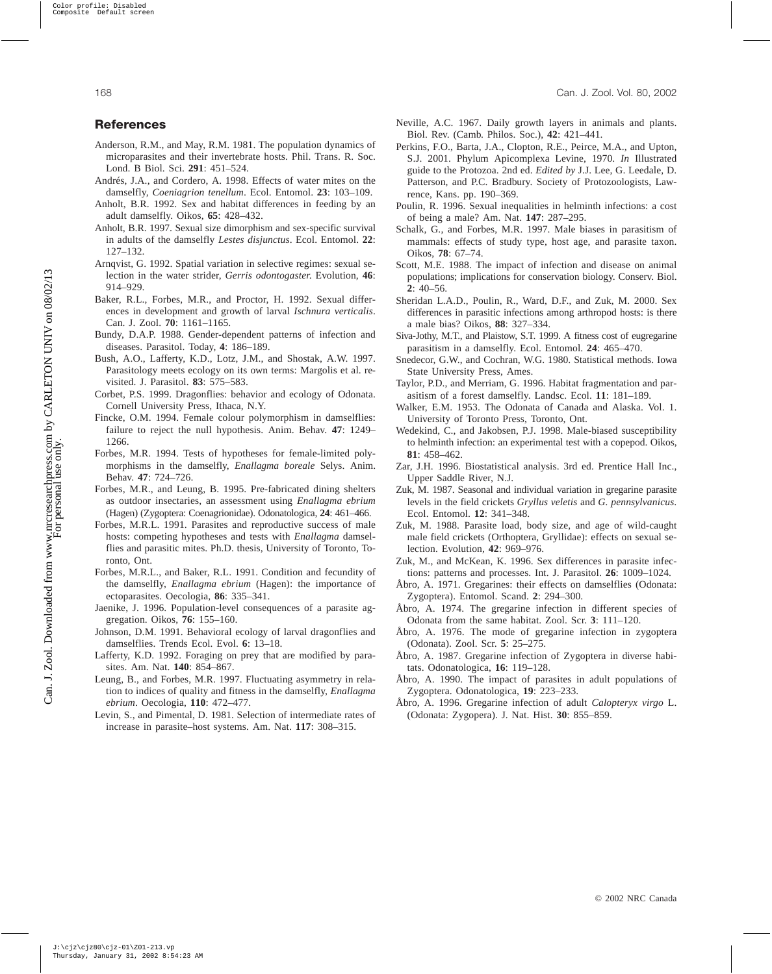## <span id="page-6-0"></span>**References**

- Anderson, R.M., and May, R.M. 1981. The population dynamics of microparasites and their invertebrate hosts. Phil. Trans. R. Soc. Lond. B Biol. Sci. **291**: 451–524.
- Andrés, J.A., and Cordero, A. 1998. Effects of water mites on the damselfly, *Coeniagrion tenellum*. Ecol. Entomol. **23**: 103–109.
- Anholt, B.R. 1992. Sex and habitat differences in feeding by an adult damselfly. Oikos, **65**: 428–432.
- Anholt, B.R. 1997. Sexual size dimorphism and sex-specific survival in adults of the damselfly *Lestes disjunctus*. Ecol. Entomol. **22**: 127–132.
- Arnqvist, G. 1992. Spatial variation in selective regimes: sexual selection in the water strider, *Gerris odontogaster*. Evolution, **46**: 914–929.
- Baker, R.L., Forbes, M.R., and Proctor, H. 1992. Sexual differences in development and growth of larval *Ischnura verticalis*. Can. J. Zool. **70**: 1161–1165.
- Bundy, D.A.P. 1988. Gender-dependent patterns of infection and diseases. Parasitol. Today, **4**: 186–189.
- Bush, A.O., Lafferty, K.D., Lotz, J.M., and Shostak, A.W. 1997. Parasitology meets ecology on its own terms: Margolis et al. revisited. J. Parasitol. **83**: 575–583.
- Corbet, P.S. 1999. Dragonflies: behavior and ecology of Odonata. Cornell University Press, Ithaca, N.Y.
- Fincke, O.M. 1994. Female colour polymorphism in damselflies: failure to reject the null hypothesis. Anim. Behav. **47**: 1249– 1266.
- Forbes, M.R. 1994. Tests of hypotheses for female-limited polymorphisms in the damselfly, *Enallagma boreale* Selys. Anim. Behav. **47**: 724–726.
- Forbes, M.R., and Leung, B. 1995. Pre-fabricated dining shelters as outdoor insectaries, an assessment using *Enallagma ebrium* (Hagen) (Zygoptera: Coenagrionidae). Odonatologica, **24**: 461–466.
- Forbes, M.R.L. 1991. Parasites and reproductive success of male hosts: competing hypotheses and tests with *Enallagma* damselflies and parasitic mites. Ph.D. thesis, University of Toronto, Toronto, Ont.
- Forbes, M.R.L., and Baker, R.L. 1991. Condition and fecundity of the damselfly, *Enallagma ebrium* (Hagen): the importance of ectoparasites. Oecologia, **86**: 335–341.
- Jaenike, J. 1996. Population-level consequences of a parasite aggregation. Oikos, **76**: 155–160.
- Johnson, D.M. 1991. Behavioral ecology of larval dragonflies and damselflies. Trends Ecol. Evol. **6**: 13–18.
- Lafferty, K.D. 1992. Foraging on prey that are modified by parasites. Am. Nat. **140**: 854–867.
- Leung, B., and Forbes, M.R. 1997. Fluctuating asymmetry in relation to indices of quality and fitness in the damselfly, *Enallagma ebrium*. Oecologia, **110**: 472–477.
- Levin, S., and Pimental, D. 1981. Selection of intermediate rates of increase in parasite–host systems. Am. Nat. **117**: 308–315.
- Neville, A.C. 1967. Daily growth layers in animals and plants. Biol. Rev. (Camb. Philos. Soc.), **42**: 421–441.
- Perkins, F.O., Barta, J.A., Clopton, R.E., Peirce, M.A., and Upton, S.J. 2001. Phylum Apicomplexa Levine, 1970. *In* Illustrated guide to the Protozoa. 2nd ed. *Edited by* J.J. Lee, G. Leedale, D. Patterson, and P.C. Bradbury. Society of Protozoologists, Lawrence, Kans. pp. 190–369.
- Poulin, R. 1996. Sexual inequalities in helminth infections: a cost of being a male? Am. Nat. **147**: 287–295.
- Schalk, G., and Forbes, M.R. 1997. Male biases in parasitism of mammals: effects of study type, host age, and parasite taxon. Oikos, **78**: 67–74.
- Scott, M.E. 1988. The impact of infection and disease on animal populations; implications for conservation biology. Conserv. Biol. **2**: 40–56.
- Sheridan L.A.D., Poulin, R., Ward, D.F., and Zuk, M. 2000. Sex differences in parasitic infections among arthropod hosts: is there a male bias? Oikos, **88**: 327–334.
- Siva-Jothy, M.T., and Plaistow, S.T. 1999. A fitness cost of eugregarine parasitism in a damselfly. Ecol. Entomol. **24**: 465–470.
- Snedecor, G.W., and Cochran, W.G. 1980. Statistical methods. Iowa State University Press, Ames.
- Taylor, P.D., and Merriam, G. 1996. Habitat fragmentation and parasitism of a forest damselfly. Landsc. Ecol. **11**: 181–189.
- Walker, E.M. 1953. The Odonata of Canada and Alaska. Vol. 1. University of Toronto Press, Toronto, Ont.
- Wedekind, C., and Jakobsen, P.J. 1998. Male-biased susceptibility to helminth infection: an experimental test with a copepod. Oikos, **81**: 458–462.
- Zar, J.H. 1996. Biostatistical analysis. 3rd ed. Prentice Hall Inc., Upper Saddle River, N.J.
- Zuk, M. 1987. Seasonal and individual variation in gregarine parasite levels in the field crickets *Gryllus veletis* and *G. pennsylvanicus*. Ecol. Entomol. **12**: 341–348.
- Zuk, M. 1988. Parasite load, body size, and age of wild-caught male field crickets (Orthoptera, Gryllidae): effects on sexual selection. Evolution, **42**: 969–976.
- Zuk, M., and McKean, K. 1996. Sex differences in parasite infections: patterns and processes. Int. J. Parasitol. **26**: 1009–1024.
- Åbro, A. 1971. Gregarines: their effects on damselflies (Odonata: Zygoptera). Entomol. Scand. **2**: 294–300.
- Åbro, A. 1974. The gregarine infection in different species of Odonata from the same habitat. Zool. Scr. **3**: 111–120.
- Åbro, A. 1976. The mode of gregarine infection in zygoptera (Odonata). Zool. Scr. **5**: 25–275.
- Åbro, A. 1987. Gregarine infection of Zygoptera in diverse habitats. Odonatologica, **16**: 119–128.
- Åbro, A. 1990. The impact of parasites in adult populations of Zygoptera. Odonatologica, **19**: 223–233.
- Åbro, A. 1996. Gregarine infection of adult *Calopteryx virgo* L. (Odonata: Zygopera). J. Nat. Hist. **30**: 855–859.